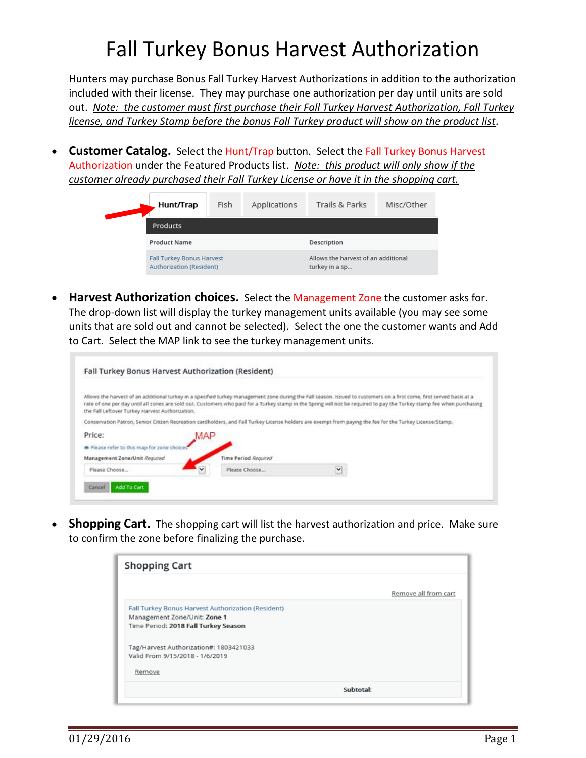## Fall Turkey Bonus Harvest Authorization

Hunters may purchase Bonus Fall Turkey Harvest Authorizations in addition to the authorization included with their license. They may purchase one authorization per day until units are sold out. *Note: the customer must first purchase their Fall Turkey Harvest Authorization, Fall Turkey license, and Turkey Stamp before the bonus Fall Turkey product will show on the product list.*

• **Customer Catalog.** Select the Hunt/Trap button. Select the Fall Turkey Bonus Harvest Authorization under the Featured Products list. *Note: this product will only show if the customer already purchased their Fall Turkey License or have it in the shopping cart.*

|  | Hunt/Trap                                                           | Fish | Applications | Trails & Parks                                        | Misc/Other |  |  |  |
|--|---------------------------------------------------------------------|------|--------------|-------------------------------------------------------|------------|--|--|--|
|  | <b>Products</b>                                                     |      |              |                                                       |            |  |  |  |
|  | <b>Product Name</b>                                                 |      |              | Description                                           |            |  |  |  |
|  | <b>Fall Turkey Bonus Harvest</b><br><b>Authorization (Resident)</b> |      |              | Allows the harvest of an additional<br>turkey in a sp |            |  |  |  |

• **Harvest Authorization choices.** Select the Management Zone the customer asks for. The drop-down list will display the turkey management units available (you may see some units that are sold out and cannot be selected). Select the one the customer wants and Add to Cart. Select the MAP link to see the turkey management units.

| the Fall Leftover Turkey Harvest Authorization. |     |                             |              | Allows the harvest of an additional turkey in a specified turkey management zone during the Fall season. Issued to customers on a first come, first served basis at a<br>rate of one per day until all zones are sold out. Customers who paid for a Turkey stamp in the Spring will not be required to pay the Turkey stamp fee when purchasing |
|-------------------------------------------------|-----|-----------------------------|--------------|-------------------------------------------------------------------------------------------------------------------------------------------------------------------------------------------------------------------------------------------------------------------------------------------------------------------------------------------------|
|                                                 |     |                             |              | Conservation Patron, Senior Citizen Recreation cardholders, and Fall Turkey License holders are exempt from paying the fee for the Turkey License/Stamp.                                                                                                                                                                                        |
| Price:                                          | MAP |                             |              |                                                                                                                                                                                                                                                                                                                                                 |
| The Please refer to this map for zone choice:   |     |                             |              |                                                                                                                                                                                                                                                                                                                                                 |
| Management Zone/Unit Required                   |     | <b>Time Period Required</b> |              |                                                                                                                                                                                                                                                                                                                                                 |
|                                                 |     | Please Choose               | $\checkmark$ |                                                                                                                                                                                                                                                                                                                                                 |

**Shopping Cart.** The shopping cart will list the harvest authorization and price. Make sure to confirm the zone before finalizing the purchase.

| <b>Shopping Cart</b>                               |                      |
|----------------------------------------------------|----------------------|
|                                                    | Remove all from cart |
| Fall Turkey Bonus Harvest Authorization (Resident) |                      |
| Management Zone/Unit: Zone 1                       |                      |
| Time Period: 2018 Fall Turkey Season               |                      |
| Tag/Harvest Authorization#: 1803421033             |                      |
| Valid From 9/15/2018 - 1/6/2019                    |                      |
| Remove                                             |                      |
|                                                    | Subtotal:            |
|                                                    |                      |